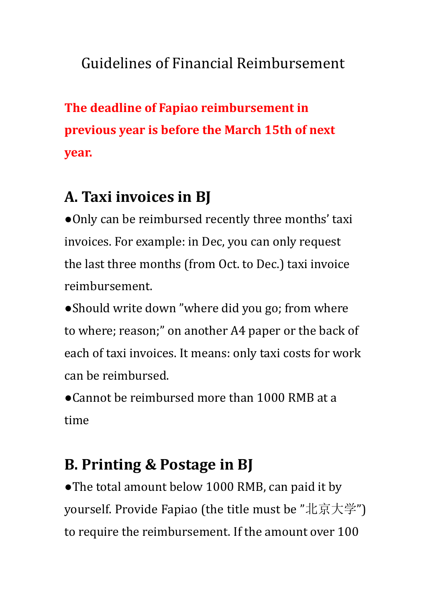## Guidelines of Financial Reimbursement

**The deadline of Fapiao reimbursement in previous year is before the March 15th of next year.**

# **A. Taxi invoices in BJ**

●Only can be reimbursed recently three months' taxi invoices. For example: in Dec, you can only request the last three months (from Oct. to Dec.) taxi invoice reimbursement.

• Should write down "where did you go; from where to where; reason;" on another A4 paper or the back of each of taxi invoices. It means: only taxi costs for work can be reimbursed.

●Cannot be reimbursed more than 1000 RMB at a time

## **B. Printing & Postage in BJ**

●The total amount below 1000 RMB, can paid it by yourself. Provide Fapiao (the title must be "北京大学") to require the reimbursement. If the amount over 100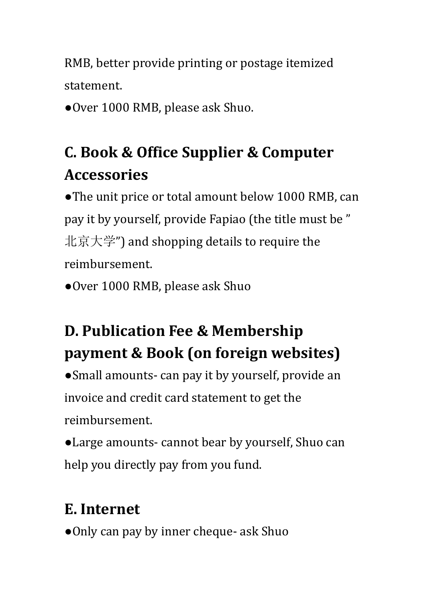RMB, better provide printing or postage itemized statement.

●Over 1000 RMB, please ask Shuo.

# **C. Book & Office Supplier & Computer Accessories**

●The unit price or total amount below 1000 RMB, can pay it by yourself, provide Fapiao (the title must be " 北京大学") and shopping details to require the reimbursement.

●Over 1000 RMB, please ask Shuo

# **D. Publication Fee & Membership payment & Book (on foreign websites)**

●Small amounts- can pay it by yourself, provide an invoice and credit card statement to get the reimbursement.

●Large amounts- cannot bear by yourself, Shuo can help you directly pay from you fund.

## **E. Internet**

●Only can pay by inner cheque- ask Shuo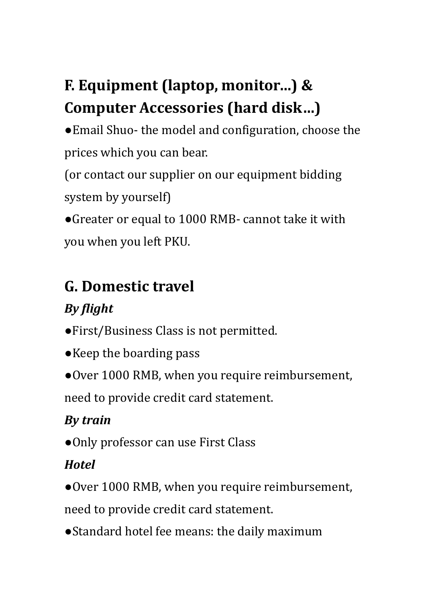# **F. Equipment (laptop, monitor…) & Computer Accessories (hard disk…)**

●Email Shuo- the model and configuration, choose the prices which you can bear.

(or contact our supplier on our equipment bidding system by yourself)

●Greater or equal to 1000 RMB- cannot take it with you when you left PKU.

## **G. Domestic travel**

## *By flight*

- ●First/Business Class is not permitted.
- ●Keep the boarding pass
- ●Over 1000 RMB, when you require reimbursement,

need to provide credit card statement.

### *By train*

●Only professor can use First Class

### *Hotel*

●Over 1000 RMB, when you require reimbursement,

need to provide credit card statement.

●Standard hotel fee means: the daily maximum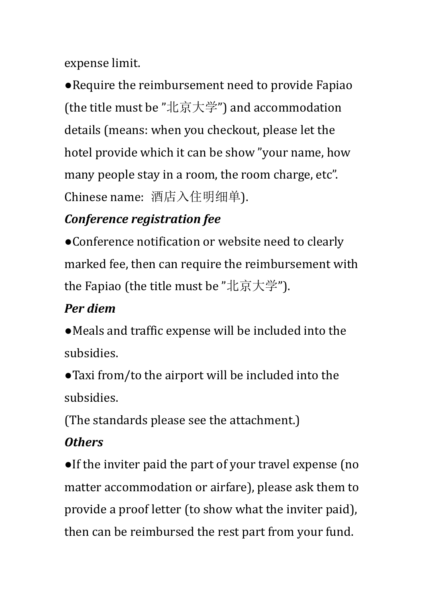expense limit.

●Require the reimbursement need to provide Fapiao (the title must be "北京大学") and accommodation details (means: when you checkout, please let the hotel provide which it can be show "your name, how many people stay in a room, the room charge, etc". Chinese name: 酒店入住明细单).

#### *Conference registration fee*

●Conference notification or website need to clearly marked fee, then can require the reimbursement with the Fapiao (the title must be "北京大学").

#### *Per diem*

●Meals and traffic expense will be included into the subsidies.

●Taxi from/to the airport will be included into the subsidies.

(The standards please see the attachment.)

#### *Others*

●If the inviter paid the part of your travel expense (no matter accommodation or airfare), please ask them to provide a proof letter (to show what the inviter paid), then can be reimbursed the rest part from your fund.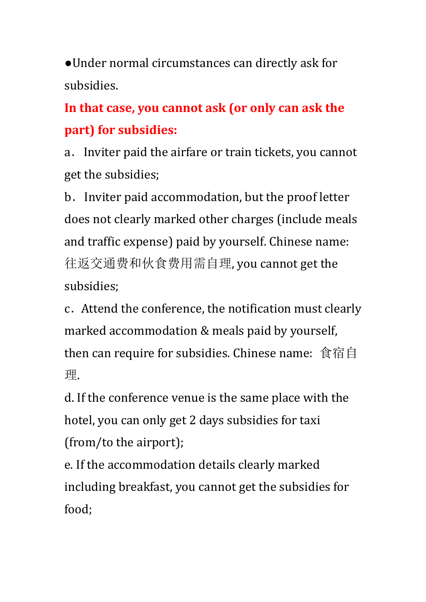●Under normal circumstances can directly ask for subsidies.

**In that case, you cannot ask (or only can ask the part) for subsidies:**

a. Inviter paid the airfare or train tickets, you cannot get the subsidies;

b.Inviter paid accommodation, but the proof letter does not clearly marked other charges (include meals and traffic expense) paid by yourself. Chinese name: 往返交通费和伙食费用需自理, you cannot get the subsidies;

c.Attend the conference, the notification must clearly marked accommodation & meals paid by yourself, then can require for subsidies. Chinese name: 食宿自 理.

d. If the conference venue is the same place with the hotel, you can only get 2 days subsidies for taxi (from/to the airport);

e. If the accommodation details clearly marked including breakfast, you cannot get the subsidies for food;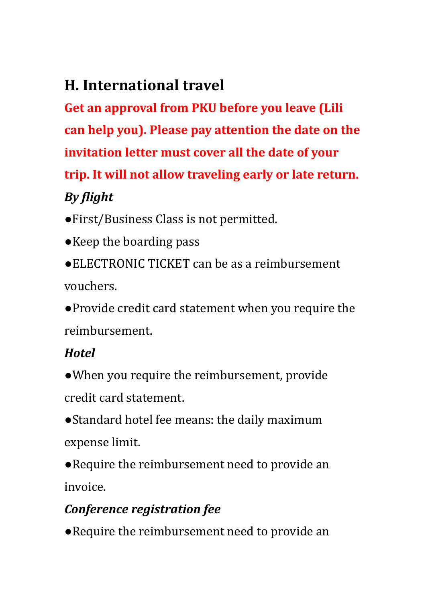## **H. International travel**

**Get an approval from PKU before you leave (Lili can help you). Please pay attention the date on the invitation letter must cover all the date of your trip. It will not allow traveling early or late return.** *By flight*

- ●First/Business Class is not permitted.
- ●Keep the boarding pass
- ●ELECTRONIC TICKET can be as a reimbursement vouchers.
- ●Provide credit card statement when you require the reimbursement.

#### *Hotel*

- ●When you require the reimbursement, provide credit card statement.
- ●Standard hotel fee means: the daily maximum expense limit.
- ●Require the reimbursement need to provide an invoice.

#### *Conference registration fee*

●Require the reimbursement need to provide an